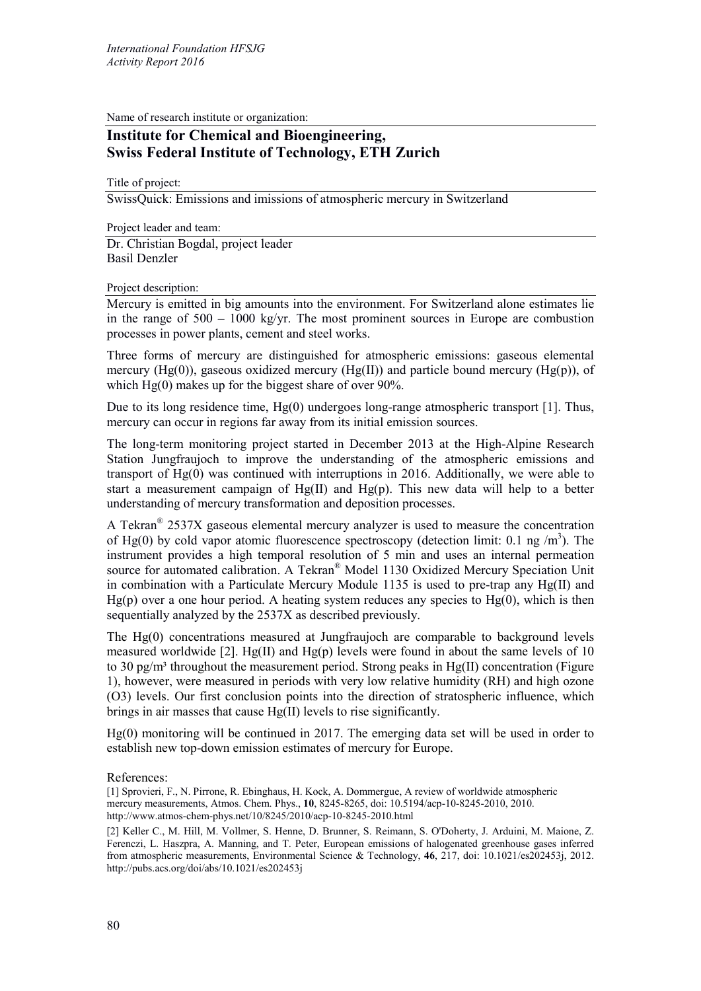Name of research institute or organization:

## **Institute for Chemical and Bioengineering, Swiss Federal Institute of Technology, ETH Zurich**

Title of project:

SwissQuick: Emissions and imissions of atmospheric mercury in Switzerland

Project leader and team: Dr. Christian Bogdal, project leader Basil Denzler

Project description:

Mercury is emitted in big amounts into the environment. For Switzerland alone estimates lie in the range of  $500 - 1000$  kg/yr. The most prominent sources in Europe are combustion processes in power plants, cement and steel works.

Three forms of mercury are distinguished for atmospheric emissions: gaseous elemental mercury (Hg(0)), gaseous oxidized mercury (Hg(II)) and particle bound mercury (Hg(p)), of which Hg(0) makes up for the biggest share of over 90%.

Due to its long residence time, Hg(0) undergoes long-range atmospheric transport [1]. Thus, mercury can occur in regions far away from its initial emission sources.

The long-term monitoring project started in December 2013 at the High-Alpine Research Station Jungfraujoch to improve the understanding of the atmospheric emissions and transport of Hg(0) was continued with interruptions in 2016. Additionally, we were able to start a measurement campaign of  $Hg(II)$  and  $Hg(p)$ . This new data will help to a better understanding of mercury transformation and deposition processes.

A Tekran® 2537X gaseous elemental mercury analyzer is used to measure the concentration of Hg(0) by cold vapor atomic fluorescence spectroscopy (detection limit:  $0.1$  ng /m<sup>3</sup>). The instrument provides a high temporal resolution of 5 min and uses an internal permeation source for automated calibration. A Tekran® Model 1130 Oxidized Mercury Speciation Unit in combination with a Particulate Mercury Module 1135 is used to pre-trap any Hg(II) and  $Hg(p)$  over a one hour period. A heating system reduces any species to  $Hg(0)$ , which is then sequentially analyzed by the 2537X as described previously.

The Hg(0) concentrations measured at Jungfraujoch are comparable to background levels measured worldwide [2]. Hg(II) and Hg(p) levels were found in about the same levels of 10 to 30 pg/m<sup>3</sup> throughout the measurement period. Strong peaks in Hg(II) concentration (Figure 1), however, were measured in periods with very low relative humidity (RH) and high ozone (O3) levels. Our first conclusion points into the direction of stratospheric influence, which brings in air masses that cause Hg(II) levels to rise significantly.

Hg(0) monitoring will be continued in 2017. The emerging data set will be used in order to establish new top-down emission estimates of mercury for Europe.

References:

[1] Sprovieri, F., N. Pirrone, R. Ebinghaus, H. Kock, A. Dommergue, A review of worldwide atmospheric mercury measurements, Atmos. Chem. Phys., **10**, 8245-8265, doi: 10.5194/acp-10-8245-2010, 2010. http://www.atmos-chem-phys.net/10/8245/2010/acp-10-8245-2010.html

[2] Keller C., M. Hill, M. Vollmer, S. Henne, D. Brunner, S. Reimann, S. O'Doherty, J. Arduini, M. Maione, Z. Ferenczi, L. Haszpra, A. Manning, and T. Peter, European emissions of halogenated greenhouse gases inferred from atmospheric measurements, Environmental Science & Technology, **46**, 217, doi: 10.1021/es202453j, 2012. http://pubs.acs.org/doi/abs/10.1021/es202453j